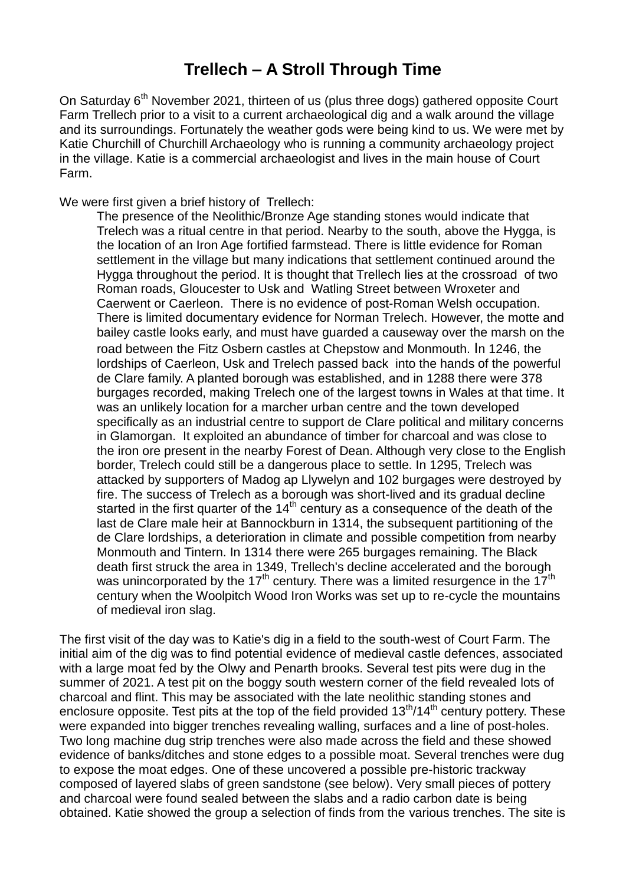## **Trellech – A Stroll Through Time**

On Saturday 6<sup>th</sup> November 2021, thirteen of us (plus three dogs) gathered opposite Court Farm Trellech prior to a visit to a current archaeological dig and a walk around the village and its surroundings. Fortunately the weather gods were being kind to us. We were met by Katie Churchill of Churchill Archaeology who is running a community archaeology project in the village. Katie is a commercial archaeologist and lives in the main house of Court Farm.

We were first given a brief history of Trellech:

The presence of the Neolithic/Bronze Age standing stones would indicate that Trelech was a ritual centre in that period. Nearby to the south, above the Hygga, is the location of an Iron Age fortified farmstead. There is little evidence for Roman settlement in the village but many indications that settlement continued around the Hygga throughout the period. It is thought that Trellech lies at the crossroad of two Roman roads, Gloucester to Usk and Watling Street between Wroxeter and Caerwent or Caerleon. There is no evidence of post-Roman Welsh occupation. There is limited documentary evidence for Norman Trelech. However, the motte and bailey castle looks early, and must have guarded a causeway over the marsh on the road between the Fitz Osbern castles at Chepstow and Monmouth. In 1246, the lordships of Caerleon, Usk and Trelech passed back into the hands of the powerful de Clare family. A planted borough was established, and in 1288 there were 378 burgages recorded, making Trelech one of the largest towns in Wales at that time. It was an unlikely location for a marcher urban centre and the town developed specifically as an industrial centre to support de Clare political and military concerns in Glamorgan. It exploited an abundance of timber for charcoal and was close to the iron ore present in the nearby Forest of Dean. Although very close to the English border, Trelech could still be a dangerous place to settle. In 1295, Trelech was attacked by supporters of Madog ap Llywelyn and 102 burgages were destroyed by fire. The success of Trelech as a borough was short-lived and its gradual decline started in the first quarter of the  $14<sup>th</sup>$  century as a consequence of the death of the last de Clare male heir at Bannockburn in 1314, the subsequent partitioning of the de Clare lordships, a deterioration in climate and possible competition from nearby Monmouth and Tintern. In 1314 there were 265 burgages remaining. The Black death first struck the area in 1349, Trellech's decline accelerated and the borough was unincorporated by the 17<sup>th</sup> century. There was a limited resurgence in the  $17<sup>th</sup>$ century when the Woolpitch Wood Iron Works was set up to re-cycle the mountains of medieval iron slag.

The first visit of the day was to Katie's dig in a field to the south-west of Court Farm. The initial aim of the dig was to find potential evidence of medieval castle defences, associated with a large moat fed by the Olwy and Penarth brooks. Several test pits were dug in the summer of 2021. A test pit on the boggy south western corner of the field revealed lots of charcoal and flint. This may be associated with the late neolithic standing stones and enclosure opposite. Test pits at the top of the field provided  $13<sup>th</sup>/14<sup>th</sup>$  century pottery. These were expanded into bigger trenches revealing walling, surfaces and a line of post-holes. Two long machine dug strip trenches were also made across the field and these showed evidence of banks/ditches and stone edges to a possible moat. Several trenches were dug to expose the moat edges. One of these uncovered a possible pre-historic trackway composed of layered slabs of green sandstone (see below). Very small pieces of pottery and charcoal were found sealed between the slabs and a radio carbon date is being obtained. Katie showed the group a selection of finds from the various trenches. The site is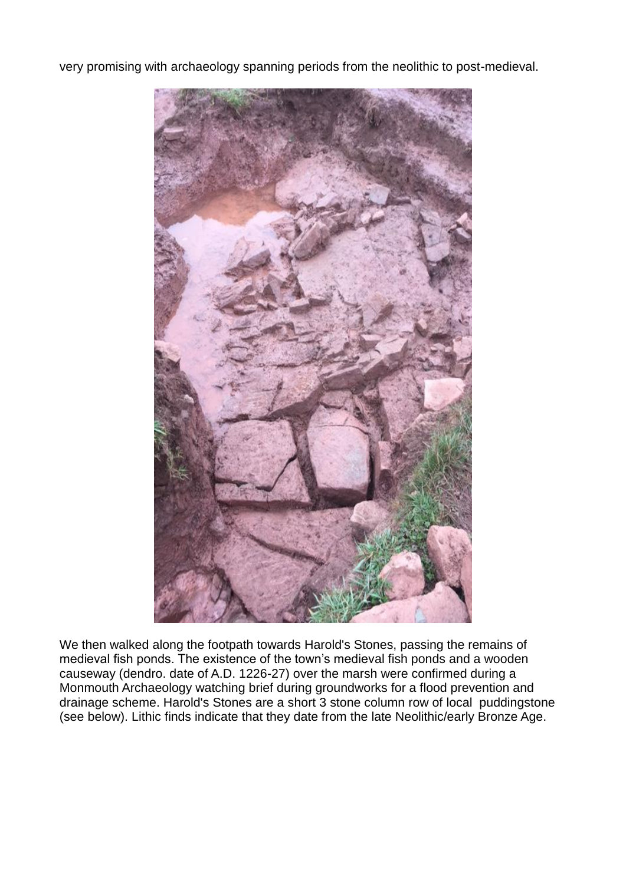very promising with archaeology spanning periods from the neolithic to post-medieval.



We then walked along the footpath towards Harold's Stones, passing the remains of medieval fish ponds. The existence of the town's medieval fish ponds and a wooden causeway (dendro. date of A.D. 1226-27) over the marsh were confirmed during a Monmouth Archaeology watching brief during groundworks for a flood prevention and drainage scheme. Harold's Stones are a short 3 stone column row of local puddingstone (see below). Lithic finds indicate that they date from the late Neolithic/early Bronze Age.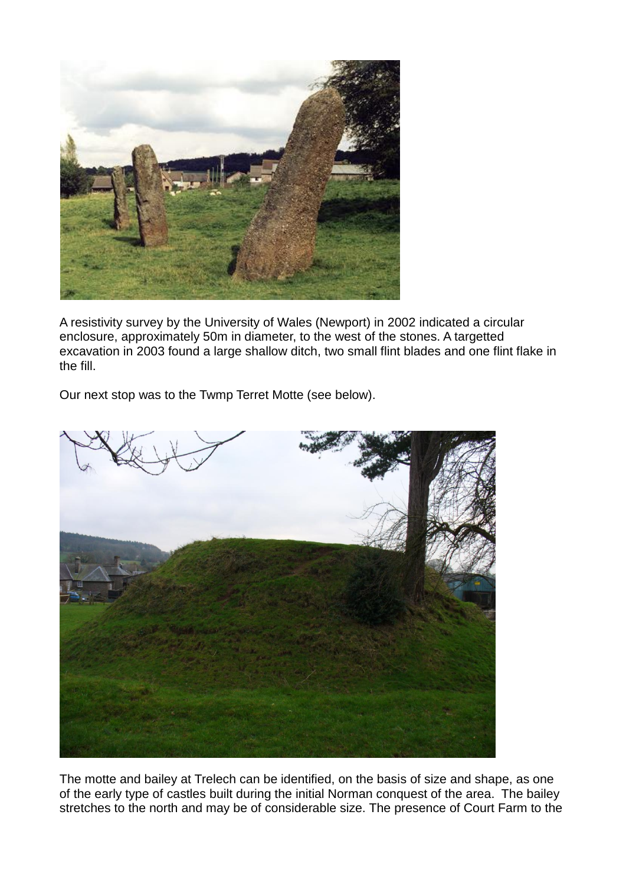

A resistivity survey by the University of Wales (Newport) in 2002 indicated a circular enclosure, approximately 50m in diameter, to the west of the stones. A targetted excavation in 2003 found a large shallow ditch, two small flint blades and one flint flake in the fill.

Our next stop was to the Twmp Terret Motte (see below).



The motte and bailey at Trelech can be identified, on the basis of size and shape, as one of the early type of castles built during the initial Norman conquest of the area. The bailey stretches to the north and may be of considerable size. The presence of Court Farm to the